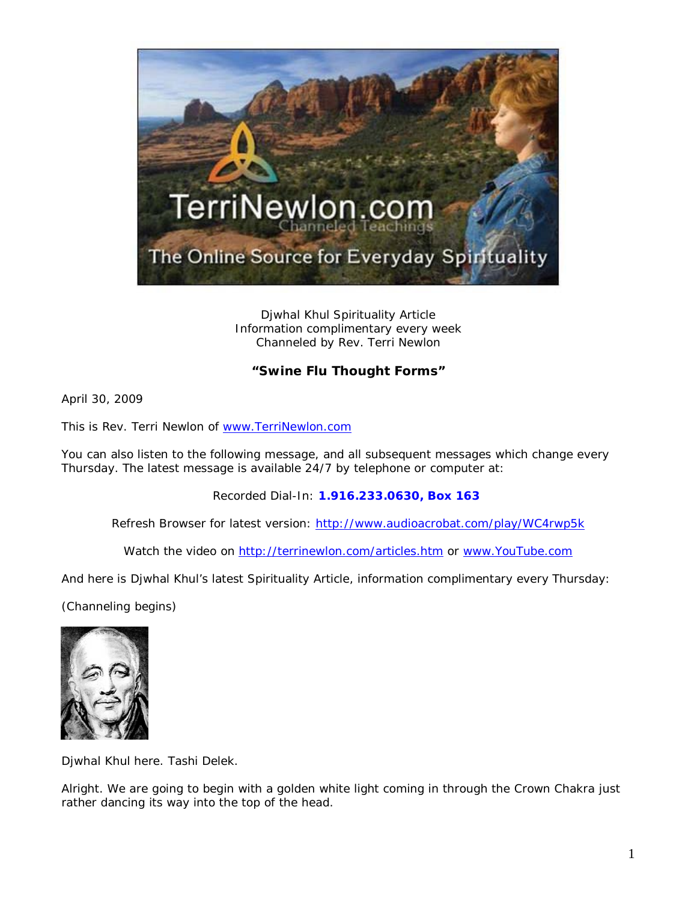

Djwhal Khul Spirituality Article Information complimentary every week Channeled by Rev. Terri Newlon

## **"Swine Flu Thought Forms"**

April 30, 2009

This is Rev. Terri Newlon of [www.TerriNewlon.com](http://www.terrinewlon.com/)

You can also listen to the following message, and all subsequent messages which change every Thursday. The latest message is available 24/7 by telephone or computer at:

Recorded Dial-In: **1.916.233.0630, Box 163**

Refresh Browser for latest version: <http://www.audioacrobat.com/play/WC4rwp5k>

Watch the video on<http://terrinewlon.com/articles.htm> or [www.YouTube.com](http://www.youtube.com/)

And here is Djwhal Khul's latest Spirituality Article, information complimentary every Thursday:

(Channeling begins)



Djwhal Khul here. Tashi Delek.

Alright. We are going to begin with a golden white light coming in through the Crown Chakra just rather dancing its way into the top of the head.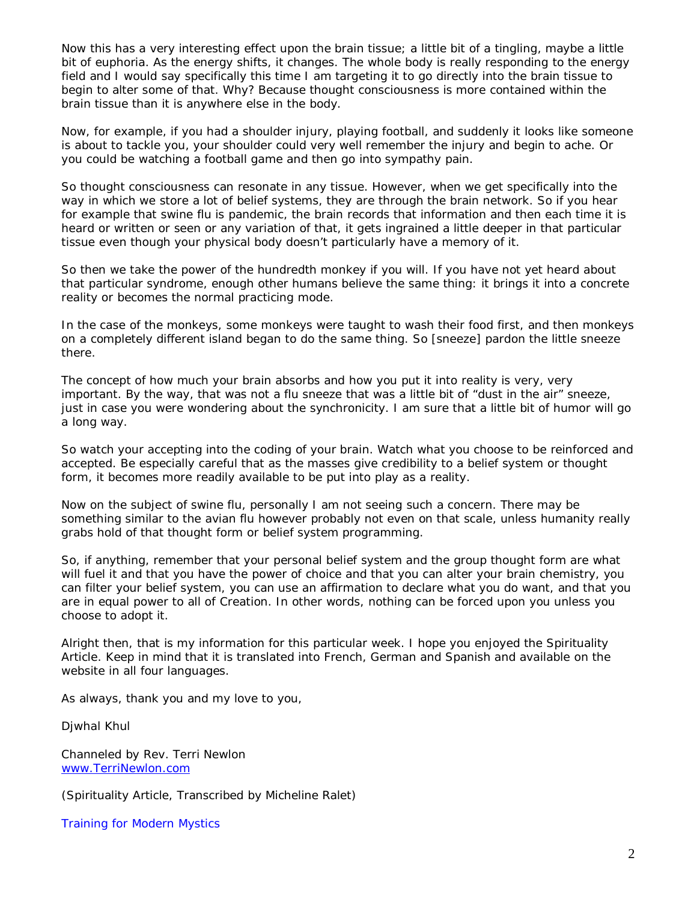Now this has a very interesting effect upon the brain tissue; a little bit of a tingling, maybe a little bit of euphoria. As the energy shifts, it changes. The whole body is really responding to the energy field and I would say specifically this time I am targeting it to go directly into the brain tissue to begin to alter some of that. Why? Because thought consciousness is more contained within the brain tissue than it is anywhere else in the body.

Now, for example, if you had a shoulder injury, playing football, and suddenly it looks like someone is about to tackle you, your shoulder could very well remember the injury and begin to ache. Or you could be watching a football game and then go into sympathy pain.

So thought consciousness can resonate in any tissue. However, when we get specifically into the way in which we store a lot of belief systems, they are through the brain network. So if you hear for example that swine flu is pandemic, the brain records that information and then each time it is heard or written or seen or any variation of that, it gets ingrained a little deeper in that particular tissue even though your physical body doesn't particularly have a memory of it.

So then we take the power of the hundredth monkey if you will. If you have not yet heard about that particular syndrome, enough other humans believe the same thing: it brings it into a concrete reality or becomes the normal practicing mode.

In the case of the monkeys, some monkeys were taught to wash their food first, and then monkeys on a completely different island began to do the same thing. So [sneeze] pardon the little sneeze there.

The concept of how much your brain absorbs and how you put it into reality is very, very important. By the way, that was not a flu sneeze that was a little bit of "dust in the air" sneeze, just in case you were wondering about the synchronicity. I am sure that a little bit of humor will go a long way.

So watch your accepting into the coding of your brain. Watch what you choose to be reinforced and accepted. Be especially careful that as the masses give credibility to a belief system or thought form, it becomes more readily available to be put into play as a reality.

Now on the subject of swine flu, personally I am not seeing such a concern. There may be something similar to the avian flu however probably not even on that scale, unless humanity really grabs hold of that thought form or belief system programming.

So, if anything, remember that your personal belief system and the group thought form are what will fuel it and that *you* have the power of choice and that *you* can alter your brain chemistry, you can filter your belief system, you can use an affirmation to declare what you do want, and that you are in equal power to all of Creation. In other words, nothing can be forced upon you unless you choose to adopt it.

Alright then, that is my information for this particular week. I hope you enjoyed the Spirituality Article. Keep in mind that it is translated into French, German and Spanish and available on the website in all four languages.

As always, thank you and my love to you,

Djwhal Khul

Channeled by Rev. Terri Newlon [www.TerriNewlon.com](http://www.terrinewlon.com/)

(Spirituality Article, Transcribed by Micheline Ralet)

Training for Modern Mystics